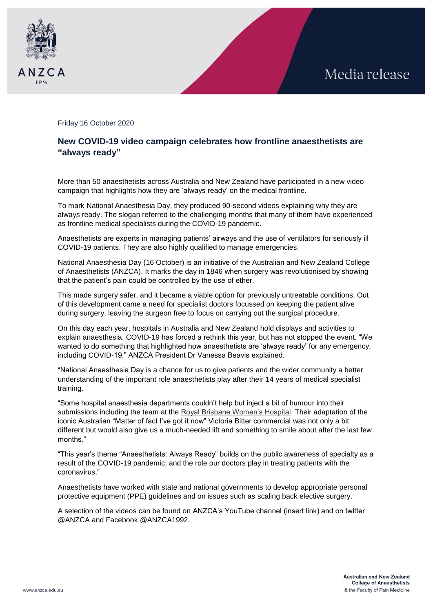



Friday 16 October 2020

## **New COVID-19 video campaign celebrates how frontline anaesthetists are "always ready"**

More than 50 anaesthetists across Australia and New Zealand have participated in a new video campaign that highlights how they are 'always ready' on the medical frontline.

To mark National Anaesthesia Day, they produced 90-second videos explaining why they are always ready. The slogan referred to the challenging months that many of them have experienced as frontline medical specialists during the COVID-19 pandemic.

Anaesthetists are experts in managing patients' airways and the use of ventilators for seriously ill COVID-19 patients. They are also highly qualified to manage emergencies.

National Anaesthesia Day (16 October) is an initiative of the Australian and New Zealand College of Anaesthetists (ANZCA). It marks the day in 1846 when surgery was revolutionised by showing that the patient's pain could be controlled by the use of ether.

This made surgery safer, and it became a viable option for previously untreatable conditions. Out of this development came a need for specialist doctors focussed on keeping the patient alive during surgery, leaving the surgeon free to focus on carrying out the surgical procedure.

On this day each year, hospitals in Australia and New Zealand hold displays and activities to explain anaesthesia. COVID-19 has forced a rethink this year, but has not stopped the event. "We wanted to do something that highlighted how anaesthetists are 'always ready' for any emergency, including COVID-19," ANZCA President Dr Vanessa Beavis explained.

"National Anaesthesia Day is a chance for us to give patients and the wider community a better understanding of the important role anaesthetists play after their 14 years of medical specialist training.

"Some hospital anaesthesia departments couldn't help but inject a bit of humour into their submissions including the team at the [Royal Brisbane Women's Hospital.](https://www.youtube.com/watch?v=MBwjYZr1ta0&feature=youtu.be) Their adaptation of the iconic Australian "Matter of fact I've got it now" Victoria Bitter commercial was not only a bit different but would also give us a much-needed lift and something to smile about after the last few months."

"This year's theme "Anaesthetists: Always Ready" builds on the public awareness of specialty as a result of the COVID-19 pandemic, and the role our doctors play in treating patients with the coronavirus."

Anaesthetists have worked with state and national governments to develop appropriate personal protective equipment (PPE) guidelines and on issues such as scaling back elective surgery.

A selection of the videos can be found on ANZCA's YouTube channel (insert link) and on twitter @ANZCA and Facebook @ANZCA1992.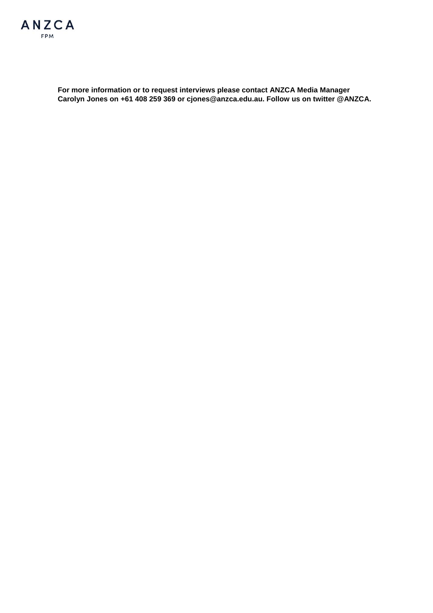

**For more information or to request interviews please contact ANZCA Media Manager Carolyn Jones on +61 408 259 369 or cjones@anzca.edu.au. Follow us on twitter @ANZCA.**